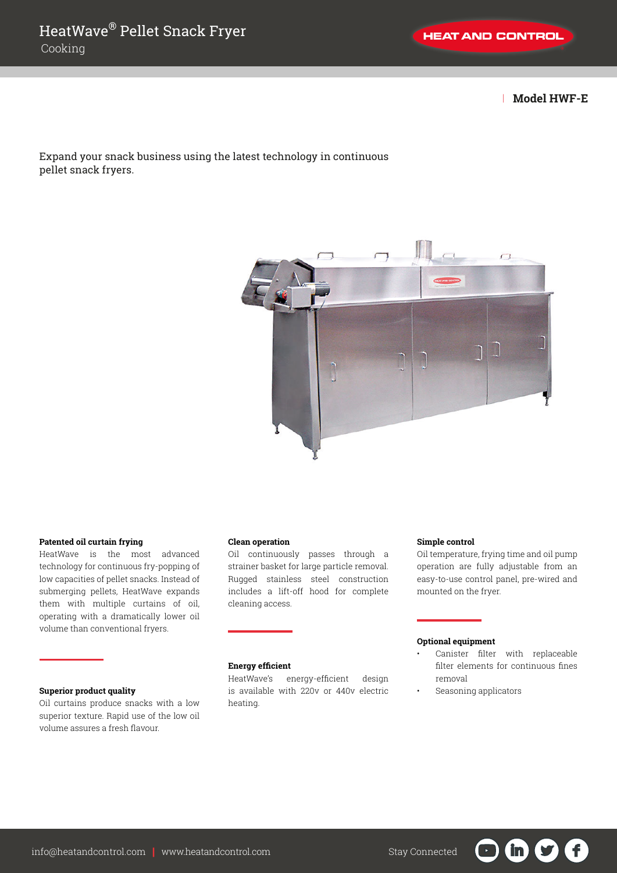| **Model HWF-E**

Expand your snack business using the latest technology in continuous pellet snack fryers.



#### **Patented oil curtain frying**

HeatWave is the most advanced technology for continuous fry-popping of low capacities of pellet snacks. Instead of submerging pellets, HeatWave expands them with multiple curtains of oil, operating with a dramatically lower oil volume than conventional fryers.

## **Superior product quality**

Oil curtains produce snacks with a low superior texture. Rapid use of the low oil volume assures a fresh flavour.

## **Clean operation**

Oil continuously passes through a strainer basket for large particle removal. Rugged stainless steel construction includes a lift-off hood for complete cleaning access.

# **Energy efficient**

HeatWave's energy-efficient design is available with 220v or 440v electric heating.

#### **Simple control**

Oil temperature, frying time and oil pump operation are fully adjustable from an easy-to-use control panel, pre-wired and mounted on the fryer.

## **Optional equipment**

Canister filter with replaceable filter elements for continuous fines removal

 $\mathbf{in}$ 

 $\mathbf{f}$ 

 $\blacksquare$ 

• Seasoning applicators